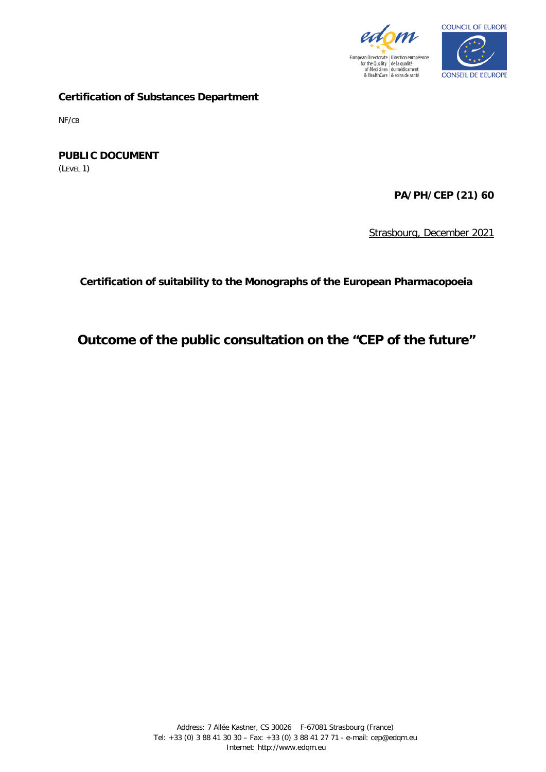



**Certification of Substances Department**

NF/CB

**PUBLIC DOCUMENT** (LEVEL 1)

**PA/PH/CEP (21) 60**

Strasbourg, December 2021

**Certification of suitability to the Monographs of the European Pharmacopoeia**

# **Outcome of the public consultation on the "CEP of the future"**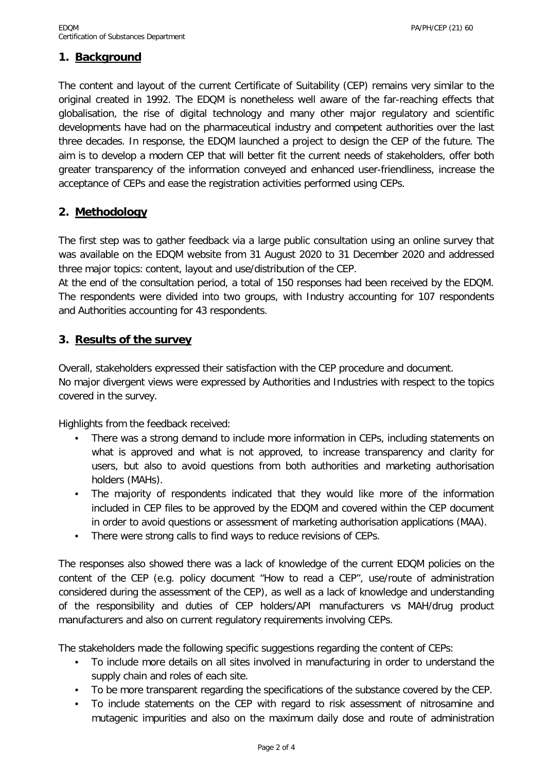## **1. Background**

The content and layout of the current Certificate of Suitability (CEP) remains very similar to the original created in 1992. The EDQM is nonetheless well aware of the far-reaching effects that globalisation, the rise of digital technology and many other major regulatory and scientific developments have had on the pharmaceutical industry and competent authorities over the last three decades. In response, the EDQM launched a project to design the CEP of the future. The aim is to develop a modern CEP that will better fit the current needs of stakeholders, offer both greater transparency of the information conveyed and enhanced user-friendliness, increase the acceptance of CEPs and ease the registration activities performed using CEPs.

## **2. Methodology**

The first step was to gather feedback via a large public consultation using an online survey that was available on the EDQM website from 31 August 2020 to 31 December 2020 and addressed three major topics: content, layout and use/distribution of the CEP.

At the end of the consultation period, a total of 150 responses had been received by the EDQM. The respondents were divided into two groups, with Industry accounting for 107 respondents and Authorities accounting for 43 respondents.

### **3. Results of the survey**

Overall, stakeholders expressed their satisfaction with the CEP procedure and document. No major divergent views were expressed by Authorities and Industries with respect to the topics covered in the survey.

Highlights from the feedback received:

- There was a strong demand to include more information in CEPs, including statements on what is approved and what is not approved, to increase transparency and clarity for users, but also to avoid questions from both authorities and marketing authorisation holders (MAHs).
- The majority of respondents indicated that they would like more of the information included in CEP files to be approved by the EDQM and covered within the CEP document in order to avoid questions or assessment of marketing authorisation applications (MAA).
- There were strong calls to find ways to reduce revisions of CEPs.

The responses also showed there was a lack of knowledge of the current EDQM policies on the content of the CEP (e.g. policy document "How to read a CEP", use/route of administration considered during the assessment of the CEP), as well as a lack of knowledge and understanding of the responsibility and duties of CEP holders/API manufacturers vs MAH/drug product manufacturers and also on current regulatory requirements involving CEPs.

The stakeholders made the following specific suggestions regarding the content of CEPs:

- To include more details on all sites involved in manufacturing in order to understand the supply chain and roles of each site.
- To be more transparent regarding the specifications of the substance covered by the CEP.
- To include statements on the CEP with regard to risk assessment of nitrosamine and mutagenic impurities and also on the maximum daily dose and route of administration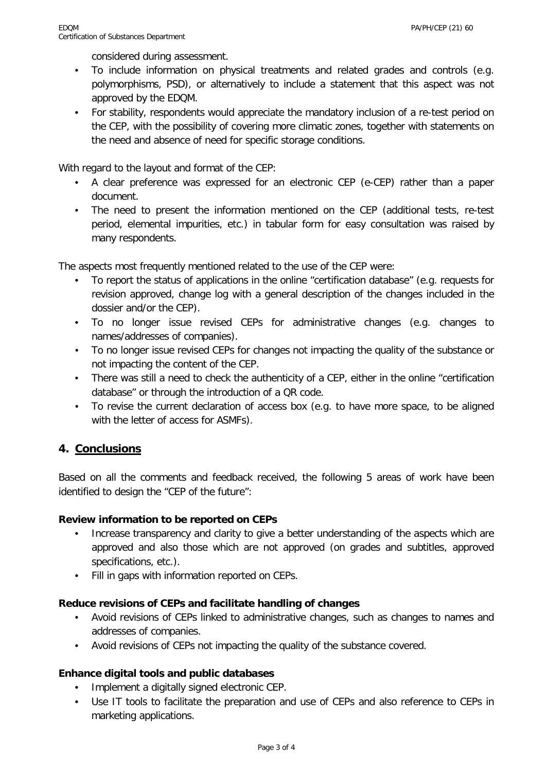considered during assessment.

- To include information on physical treatments and related grades and controls (e.g. polymorphisms, PSD), or alternatively to include a statement that this aspect was not approved by the EDQM.
- For stability, respondents would appreciate the mandatory inclusion of a re-test period on the CEP, with the possibility of covering more climatic zones, together with statements on the need and absence of need for specific storage conditions.

With regard to the layout and format of the CEP:

- A clear preference was expressed for an electronic CEP (e-CEP) rather than a paper document.
- The need to present the information mentioned on the CEP (additional tests, re-test period, elemental impurities, etc.) in tabular form for easy consultation was raised by many respondents.

The aspects most frequently mentioned related to the use of the CEP were:

- To report the status of applications in the online "certification database" (e.g. requests for revision approved, change log with a general description of the changes included in the dossier and/or the CEP).
- To no longer issue revised CEPs for administrative changes (e.g. changes to names/addresses of companies).
- To no longer issue revised CEPs for changes not impacting the quality of the substance or not impacting the content of the CEP.
- There was still a need to check the authenticity of a CEP, either in the online "certification database" or through the introduction of a QR code.
- To revise the current declaration of access box (e.g. to have more space, to be aligned with the letter of access for ASMFs).

## **4. Conclusions**

Based on all the comments and feedback received, the following 5 areas of work have been identified to design the "CEP of the future":

#### **Review information to be reported on CEPs**

- Increase transparency and clarity to give a better understanding of the aspects which are approved and also those which are not approved (on grades and subtitles, approved specifications, etc.).
- Fill in gaps with information reported on CEPs.

#### **Reduce revisions of CEPs and facilitate handling of changes**

- Avoid revisions of CEPs linked to administrative changes, such as changes to names and addresses of companies.
- Avoid revisions of CEPs not impacting the quality of the substance covered.

#### **Enhance digital tools and public databases**

- Implement a digitally signed electronic CEP.
- Use IT tools to facilitate the preparation and use of CEPs and also reference to CEPs in marketing applications.